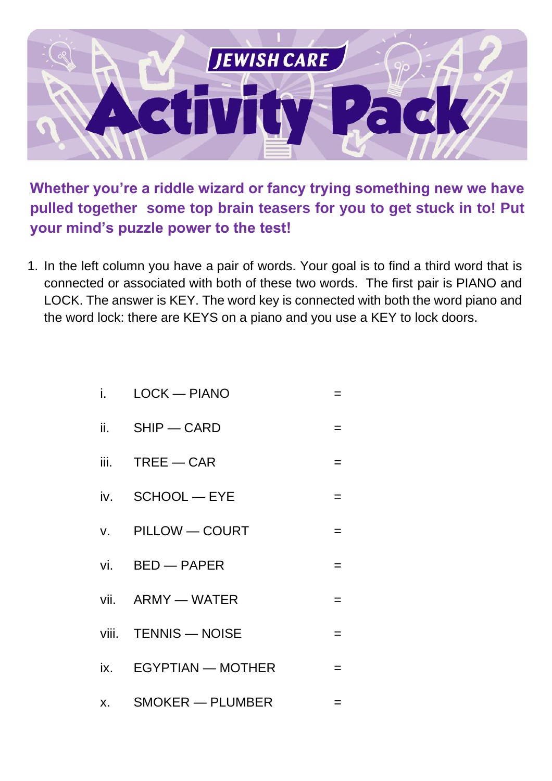

**Whether you're a riddle wizard or fancy trying something new we have pulled together some top brain teasers for you to get stuck in to! Put your mind's puzzle power to the test!**

1. In the left column you have a pair of words. Your goal is to find a third word that is connected or associated with both of these two words. The first pair is PIANO and LOCK. The answer is KEY. The word key is connected with both the word piano and the word lock: there are KEYS on a piano and you use a KEY to lock doors.

|  |  | $LOCK$ $-$ PIANO |  |
|--|--|------------------|--|
|--|--|------------------|--|

- ii.  $SHIP$  CARD  $=$
- $iii.$  TREE CAR  $=$
- $iv.$  SCHOOL EYE  $=$
- v. PILLOW COURT =
- $vi.$  BED PAPER  $=$
- $vii.$  ARMY WATER  $=$
- viii. TENNIS NOISE =
- $ix.$  EGYPTIAN MOTHER  $=$
- $x.$  SMOKER PLUMBER  $=$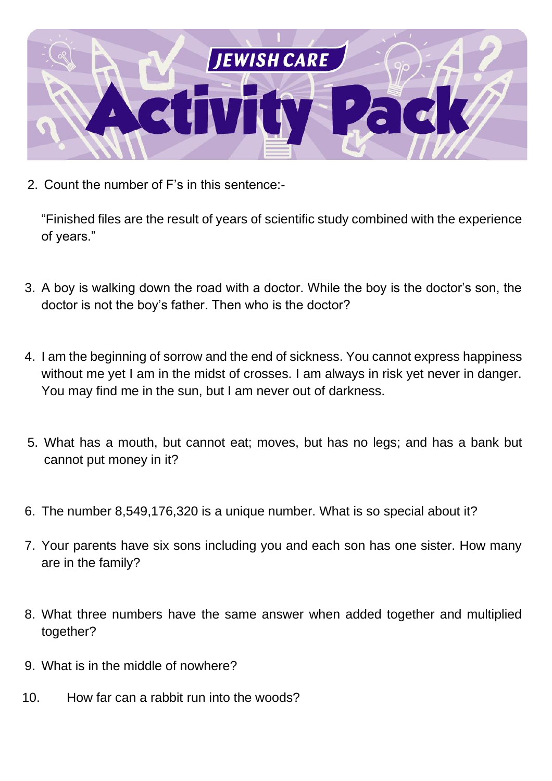

2. Count the number of F's in this sentence:-

"Finished files are the result of years of scientific study combined with the experience of years."

- 3. A boy is walking down the road with a doctor. While the boy is the doctor's son, the doctor is not the boy's father. Then who is the doctor?
- 4. I am the beginning of sorrow and the end of sickness. You cannot express happiness without me yet I am in the midst of crosses. I am always in risk yet never in danger. You may find me in the sun, but I am never out of darkness.
- 5. What has a mouth, but cannot eat; moves, but has no legs; and has a bank but cannot put money in it?
- 6. The number 8,549,176,320 is a unique number. What is so special about it?
- 7. Your parents have six sons including you and each son has one sister. How many are in the family?
- 8. What three numbers have the same answer when added together and multiplied together?
- 9. What is in the middle of nowhere?
- 10. How far can a rabbit run into the woods?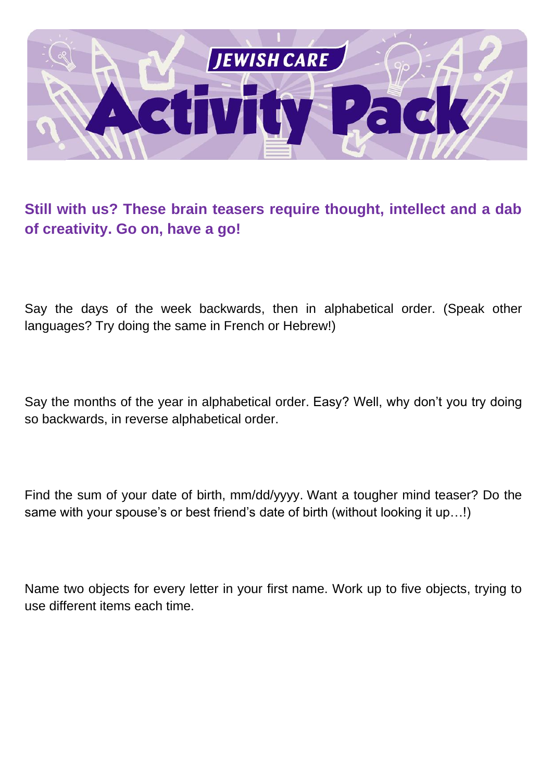

#### **Still with us? These brain teasers require thought, intellect and a dab of creativity. Go on, have a go!**

Say the days of the week backwards, then in alphabetical order. (Speak other languages? Try doing the same in French or Hebrew!)

Say the months of the year in alphabetical order. Easy? Well, why don't you try doing so backwards, in reverse alphabetical order.

Find the sum of your date of birth, mm/dd/yyyy. Want a tougher mind teaser? Do the same with your spouse's or best friend's date of birth (without looking it up…!)

Name two objects for every letter in your first name. Work up to five objects, trying to use different items each time.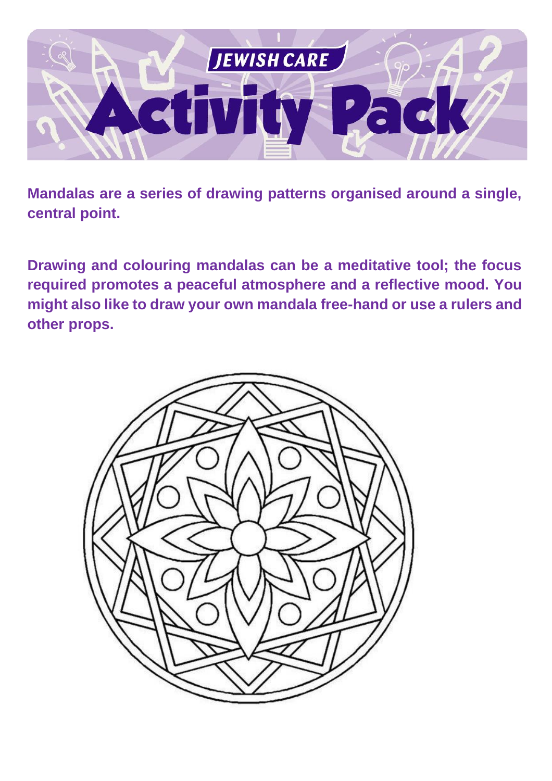

**Mandalas are a series of drawing patterns organised around a single, central point.** 

**Drawing and colouring mandalas can be a meditative tool; the focus required promotes a peaceful atmosphere and a reflective mood. You might also like to draw your own mandala free-hand or use a rulers and other props.**

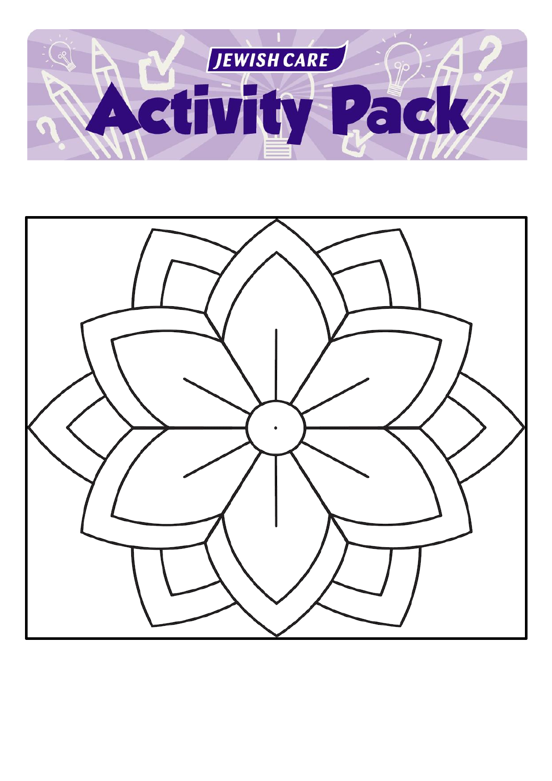

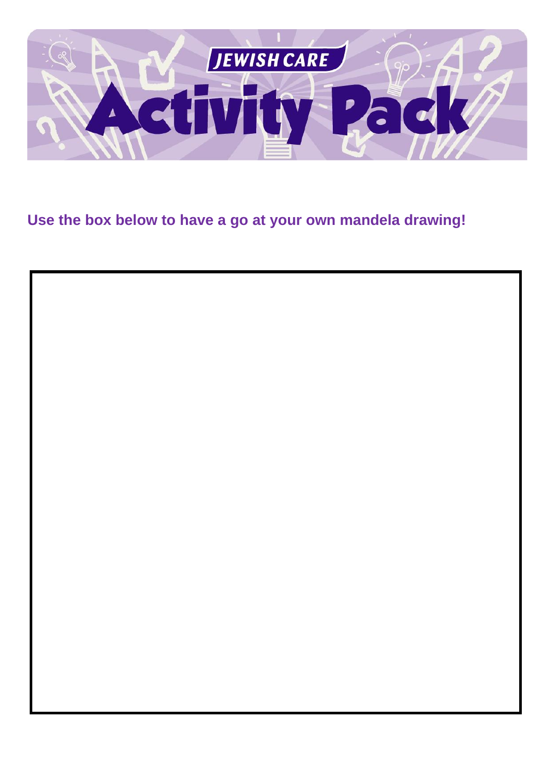

### **Use the box below to have a go at your own mandela drawing!**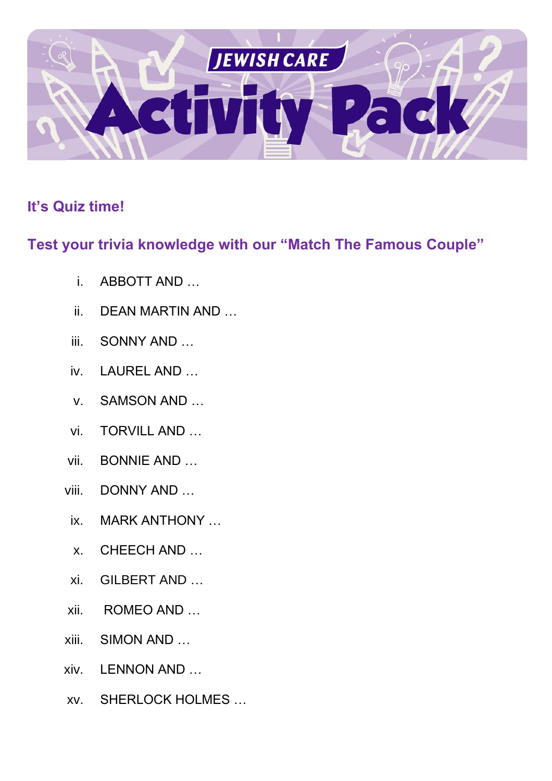

#### **It's Quiz time!**

#### **Test your trivia knowledge with our "Match The Famous Couple"**

- i. ABBOTT AND …
- ii. DEAN MARTIN AND …
- iii. SONNY AND …
- iv. LAUREL AND …
- v. SAMSON AND …
- vi. TORVILL AND …
- vii. BONNIE AND …
- viii. DONNY AND …
- ix. MARK ANTHONY …
- x. CHEECH AND …
- xi. GILBERT AND …
- xii. ROMEO AND …
- xiii. SIMON AND …
- xiv. LENNON AND …
- xv. SHERLOCK HOLMES …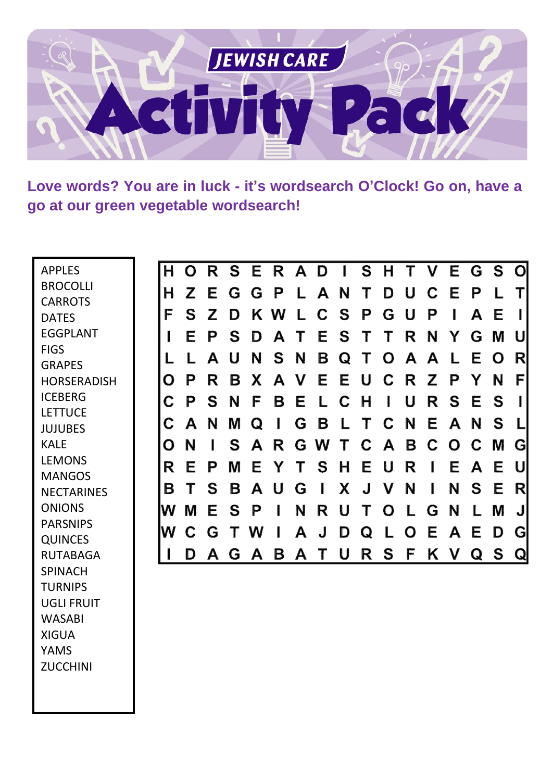

**Love words? You are in luck - it's wordsearch O'Clock! Go on, have a go at our green vegetable wordsearch!**

| <b>APPLES</b>      | H | Ο | R | S | E | R | A | D | H        | S | H | T            | V | Е | G            | S | $\mathbf{O}$ |
|--------------------|---|---|---|---|---|---|---|---|----------|---|---|--------------|---|---|--------------|---|--------------|
| <b>BROCOLLI</b>    | H | 7 | Е | G | G | P |   | A | N        | Τ | D | IJ           |   | F | P            |   | Τ            |
| <b>CARROTS</b>     |   |   |   |   |   |   |   |   |          |   |   |              |   |   |              |   |              |
| <b>DATES</b>       | F | S | Z | D | K | W |   | C | <b>S</b> | P | G | IJ           | P |   | A            | E |              |
| <b>EGGPLANT</b>    |   | Е | Р | S | D | A |   | Е | S        | T | T | R            | N | Y | G            | M | U            |
| <b>FIGS</b>        |   |   | Α | U | N | S | N | Β | Q        | Τ | O | A            | A |   | E            | O | R            |
| <b>GRAPES</b>      |   |   |   |   |   |   |   |   |          |   |   |              |   |   |              |   |              |
| <b>HORSERADISH</b> | O | Р | R | B | X | A | V | Е | Е        | U | C | R            | Z | P | Y            | N | F            |
| <b>ICEBERG</b>     | C | P | S | N | F | B | Е |   | C        | H |   | U            | R | S | E            | S |              |
| <b>LETTUCE</b>     |   |   |   |   |   |   |   |   |          |   | C |              |   |   |              | S |              |
| <b>JUJUBES</b>     | С | A | N | M | Q | ı | G | Β |          | Τ |   | N            | Е | A | N            |   |              |
| <b>KALE</b>        | O | N |   | S | A | R | G | W | Τ        | C | A | B            | C | Ω | C            | M | G            |
| <b>LEMONS</b>      | R | Е | Р | M | Е | Y |   | S | H        | Е | U | R            |   | E | A            | Е | U            |
| <b>MANGOS</b>      |   |   |   |   |   |   |   |   |          |   |   |              |   |   |              |   |              |
| <b>NECTARINES</b>  | B |   | S | B | А | U | G |   | Х        | J | V | N            |   | N | S            | Е | R            |
| <b>ONIONS</b>      | W | M | Е | S | Р | ı | N | R | U        | Τ | O | $\mathbf{L}$ | G | N | $\mathsf{L}$ | M | J            |
| <b>PARSNIPS</b>    | W |   | G |   | W | ı | A | J | D        | Q |   | O            | Е | A | E            | D | G            |
| <b>QUINCES</b>     |   |   |   |   |   |   |   |   |          |   |   |              |   |   |              |   |              |
| <b>RUTABAGA</b>    |   | D | А | G | Α | B | Α |   | U        | R | S | F            | Κ | V | Q            | S | $\mathbf Q$  |
| <b>SPINACH</b>     |   |   |   |   |   |   |   |   |          |   |   |              |   |   |              |   |              |
| <b>TURNIPS</b>     |   |   |   |   |   |   |   |   |          |   |   |              |   |   |              |   |              |
| <b>UGLI FRUIT</b>  |   |   |   |   |   |   |   |   |          |   |   |              |   |   |              |   |              |
| <b>WASABI</b>      |   |   |   |   |   |   |   |   |          |   |   |              |   |   |              |   |              |
| <b>XIGUA</b>       |   |   |   |   |   |   |   |   |          |   |   |              |   |   |              |   |              |
| <b>VANAC</b>       |   |   |   |   |   |   |   |   |          |   |   |              |   |   |              |   |              |

YAMS ZUCCHINI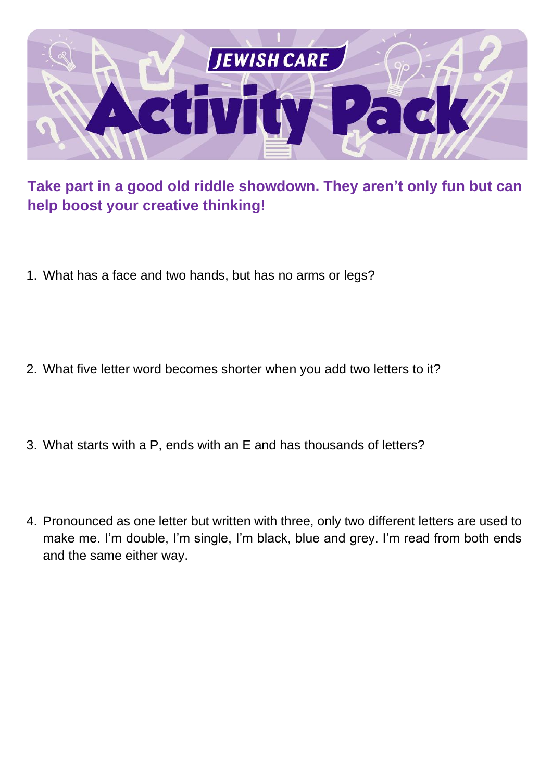

#### **Take part in a good old riddle showdown. They aren't only fun but can help boost your creative thinking!**

- 1. What has a face and two hands, but has no arms or legs?
- 2. What five letter word becomes shorter when you add two letters to it?
- 3. What starts with a P, ends with an E and has thousands of letters?
- 4. Pronounced as one letter but written with three, only two different letters are used to make me. I'm double, I'm single, I'm black, blue and grey. I'm read from both ends and the same either way.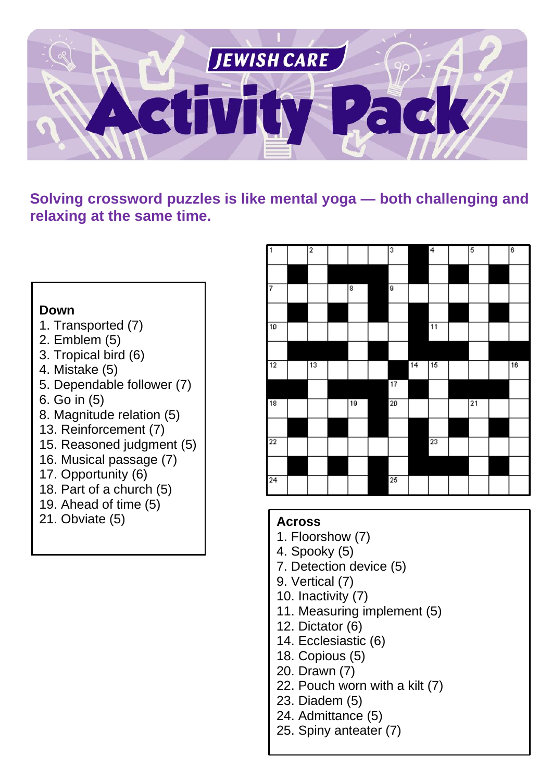

**Solving crossword puzzles is like mental yoga — both challenging and relaxing at the same time.**

#### **Down**

- 1. Transported (7)
- 2. Emblem (5)
- 3. Tropical bird (6)
- 4. Mistake (5)
- 5. Dependable follower (7)
- 6. Go in (5)
- 8. Magnitude relation (5)
- 13. Reinforcement (7)
- 15. Reasoned judgment (5)
- 16. Musical passage (7)
- 17. Opportunity (6)
- 18. Part of a church (5)
- 19. Ahead of time (5)
- 21. Obviate (5) **Across**



- 1. Floorshow (7)
- 4. Spooky (5)
- 7. Detection device (5)
- 9. Vertical (7)
- 10. Inactivity (7)
- 11. Measuring implement (5)
- 12. Dictator (6)
- 14. Ecclesiastic (6)
- 18. Copious (5)
- 20. Drawn (7)
- 22. Pouch worn with a kilt (7)
- 23. Diadem (5)
- 24. Admittance (5)
- 25. Spiny anteater (7)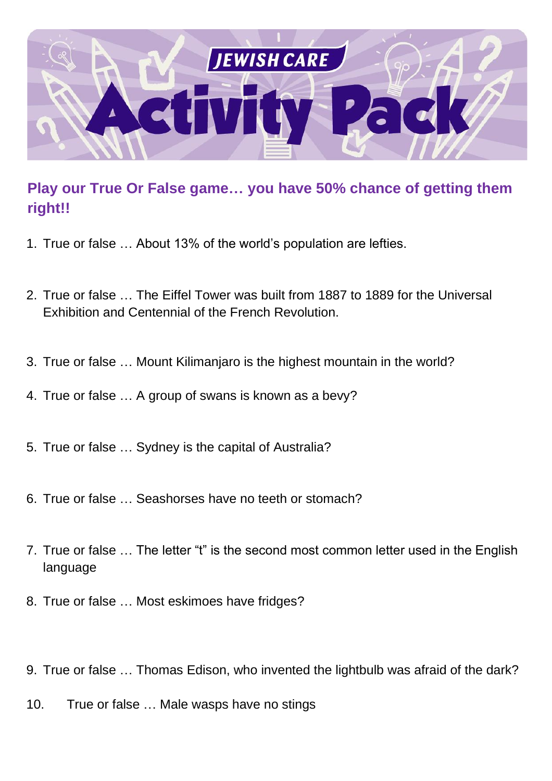

#### **Play our True Or False game… you have 50% chance of getting them right!!**

- 1. True or false … About 13% of the world's population are lefties.
- 2. True or false … The Eiffel Tower was built from 1887 to 1889 for the Universal Exhibition and Centennial of the French Revolution.
- 3. True or false … Mount Kilimanjaro is the highest mountain in the world?
- 4. True or false … A group of swans is known as a bevy?
- 5. True or false … Sydney is the capital of Australia?
- 6. True or false … Seashorses have no teeth or stomach?
- 7. True or false … The letter "t" is the second most common letter used in the English language
- 8. True or false … Most eskimoes have fridges?
- 9. True or false … Thomas Edison, who invented the lightbulb was afraid of the dark?
- 10. True or false … Male wasps have no stings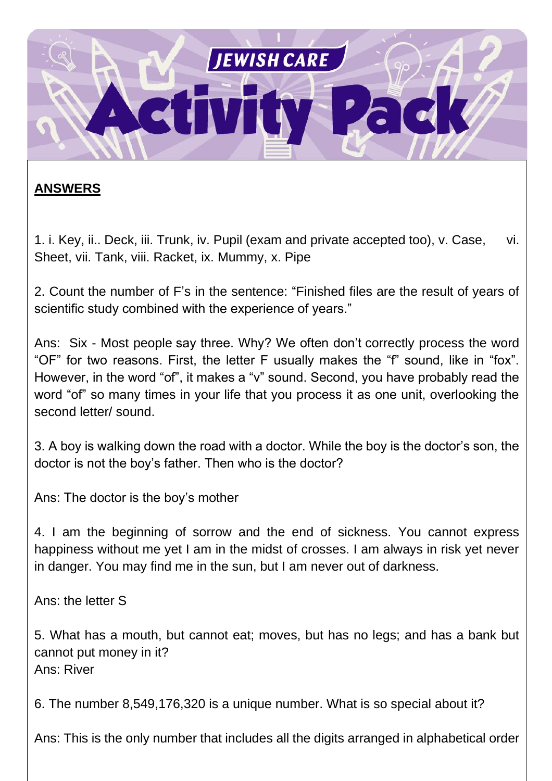

#### **ANSWERS**

1. i. Key, ii.. Deck, iii. Trunk, iv. Pupil (exam and private accepted too), v. Case, vi. Sheet, vii. Tank, viii. Racket, ix. Mummy, x. Pipe

2. Count the number of F's in the sentence: "Finished files are the result of years of scientific study combined with the experience of years."

Ans: Six - Most people say three. Why? We often don't correctly process the word "OF" for two reasons. First, the letter F usually makes the "f" sound, like in "fox". However, in the word "of", it makes a "v" sound. Second, you have probably read the word "of" so many times in your life that you process it as one unit, overlooking the second letter/ sound.

3. A boy is walking down the road with a doctor. While the boy is the doctor's son, the doctor is not the boy's father. Then who is the doctor?

Ans: The doctor is the boy's mother

4. I am the beginning of sorrow and the end of sickness. You cannot express happiness without me yet I am in the midst of crosses. I am always in risk yet never in danger. You may find me in the sun, but I am never out of darkness.

Ans: the letter S

1. 5. What has a mouth, but cannot eat; moves, but has no legs; and has a bank but cannot put money in it? Ans: River

6. The number 8,549,176,320 is a unique number. What is so special about it?

Ans: This is the only number that includes all the digits arranged in alphabetical order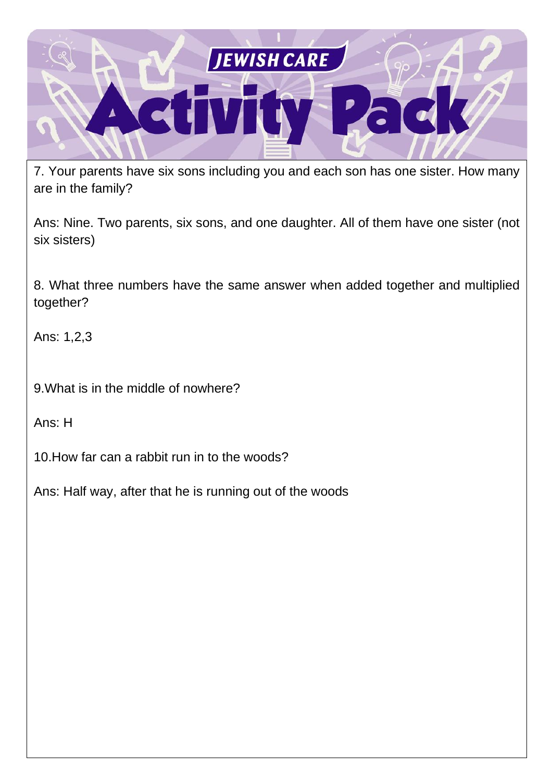

7. Your parents have six sons including you and each son has one sister. How many are in the family?

Ans: Nine. Two parents, six sons, and one daughter. All of them have one sister (not six sisters)

8. What three numbers have the same answer when added together and multiplied together?

Ans: 1,2,3

9.What is in the middle of nowhere?

Ans: H

10.How far can a rabbit run in to the woods?

Ans: Half way, after that he is running out of the woods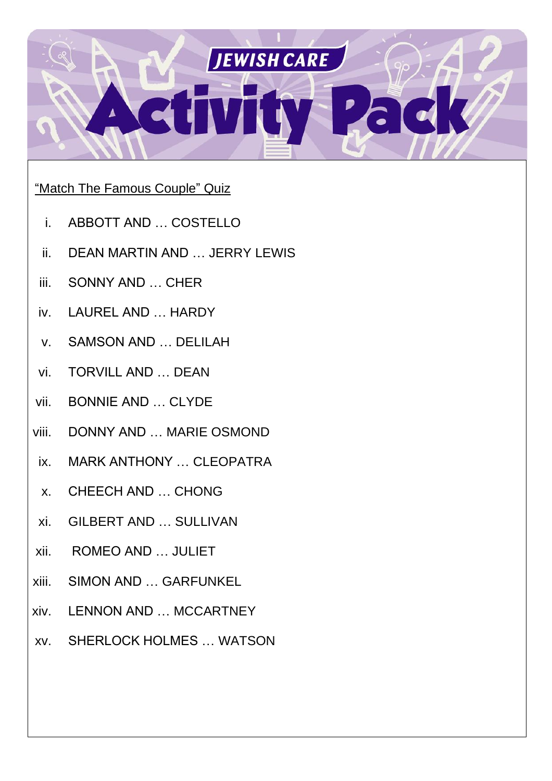

#### "Match The Famous Couple" Quiz

- i. ABBOTT AND … COSTELLO
- ii. DEAN MARTIN AND … JERRY LEWIS
- iii. SONNY AND … CHER
- iv. LAUREL AND … HARDY
- v. SAMSON AND … DELILAH
- vi. TORVILL AND … DEAN
- vii. BONNIE AND … CLYDE
- viii. DONNY AND … MARIE OSMOND
- ix. MARK ANTHONY … CLEOPATRA
- x. CHEECH AND … CHONG
- xi. GILBERT AND … SULLIVAN
- xii. ROMEO AND … JULIET
- xiii. SIMON AND … GARFUNKEL
- xiv. LENNON AND … MCCARTNEY
- xv. SHERLOCK HOLMES … WATSON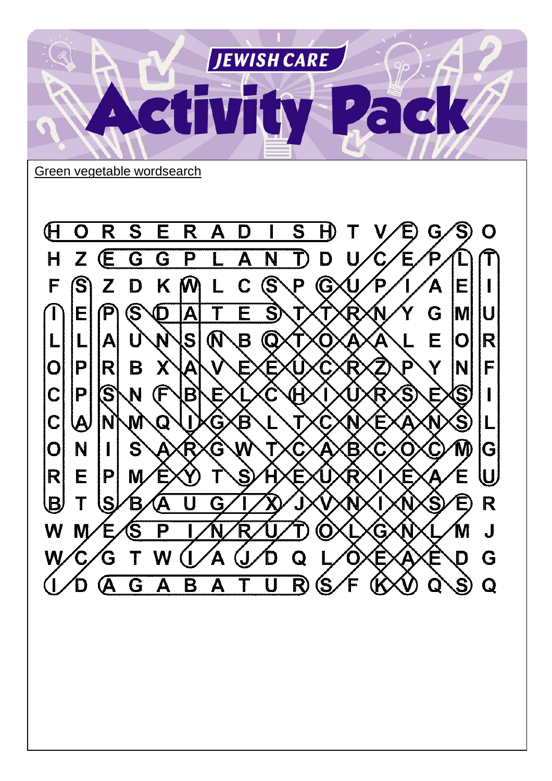

Green vegetable wordsearch

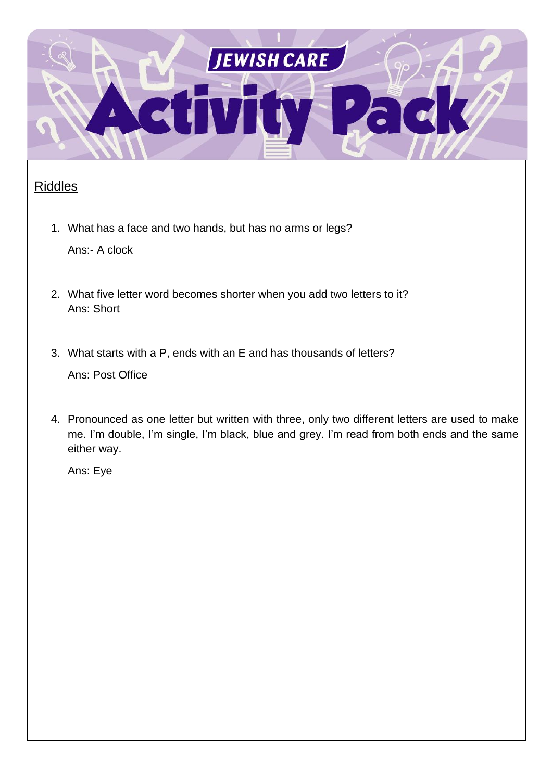

#### Riddles

1. What has a face and two hands, but has no arms or legs?

Ans:- A clock

- 2. What five letter word becomes shorter when you add two letters to it? Ans: Short
- 3. What starts with a P, ends with an E and has thousands of letters?

Ans: Post Office

4. Pronounced as one letter but written with three, only two different letters are used to make me. I'm double, I'm single, I'm black, blue and grey. I'm read from both ends and the same either way.

Ans: Eye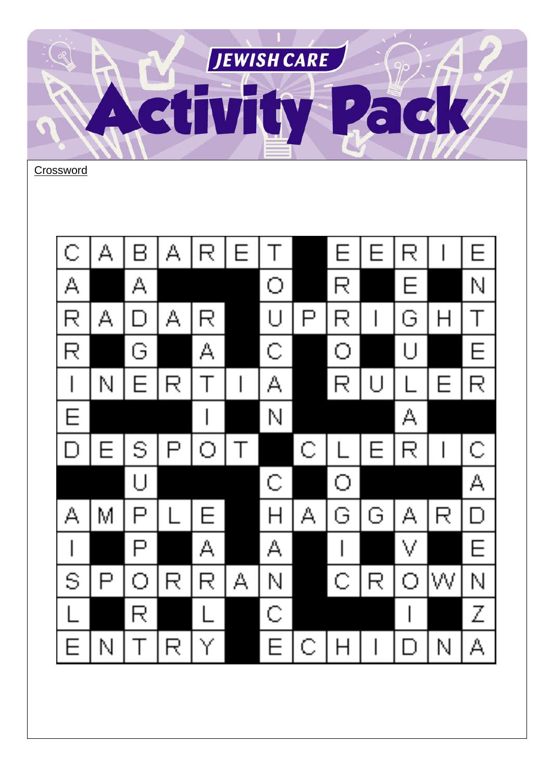

Crossword

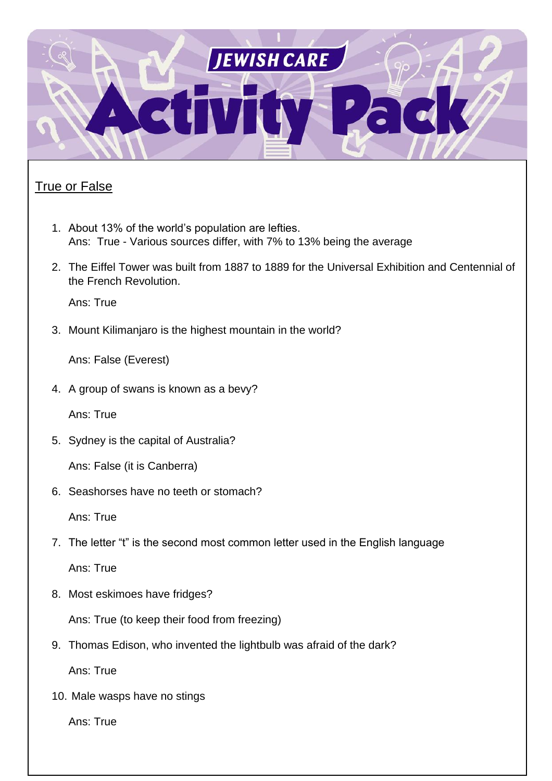

#### **True or False**

- 1. About 13% of the world's population are lefties. Ans: True - Various sources differ, with 7% to 13% being the average
- 2. The Eiffel Tower was built from 1887 to 1889 for the Universal Exhibition and Centennial of the French Revolution.

Ans: True

3. Mount Kilimanjaro is the highest mountain in the world?

Ans: False (Everest)

4. A group of swans is known as a bevy?

Ans: True

5. Sydney is the capital of Australia?

Ans: False (it is Canberra)

6. Seashorses have no teeth or stomach?

Ans: True

7. The letter "t" is the second most common letter used in the English language

Ans: True

8. Most eskimoes have fridges?

Ans: True (to keep their food from freezing)

9. Thomas Edison, who invented the lightbulb was afraid of the dark?

Ans: True

10. Male wasps have no stings

Ans: True